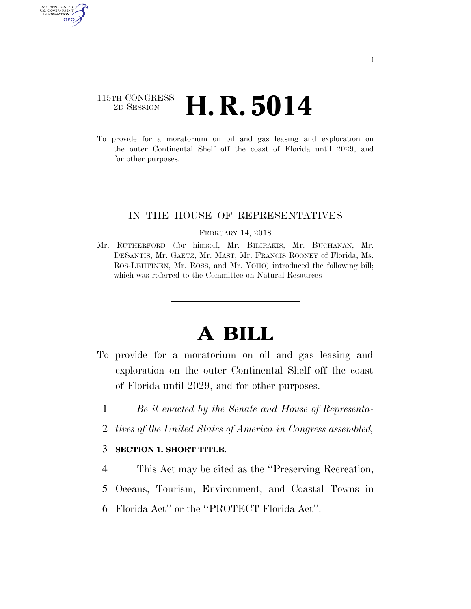# 115TH CONGRESS <sup>2D SESSION</sup> **H. R. 5014**

AUTHENTICATED U.S. GOVERNMENT GPO

> To provide for a moratorium on oil and gas leasing and exploration on the outer Continental Shelf off the coast of Florida until 2029, and for other purposes.

## IN THE HOUSE OF REPRESENTATIVES

#### FEBRUARY 14, 2018

Mr. RUTHERFORD (for himself, Mr. BILIRAKIS, Mr. BUCHANAN, Mr. DESANTIS, Mr. GAETZ, Mr. MAST, Mr. FRANCIS ROONEY of Florida, Ms. ROS-LEHTINEN, Mr. ROSS, and Mr. YOHO) introduced the following bill; which was referred to the Committee on Natural Resources

# **A BILL**

- To provide for a moratorium on oil and gas leasing and exploration on the outer Continental Shelf off the coast of Florida until 2029, and for other purposes.
	- 1 *Be it enacted by the Senate and House of Representa-*
	- 2 *tives of the United States of America in Congress assembled,*

### 3 **SECTION 1. SHORT TITLE.**

- 4 This Act may be cited as the ''Preserving Recreation,
- 5 Oceans, Tourism, Environment, and Coastal Towns in
- 6 Florida Act'' or the ''PROTECT Florida Act''.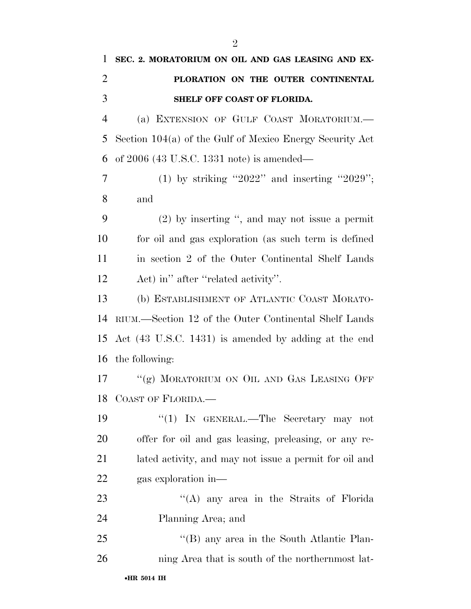| 1              | SEC. 2. MORATORIUM ON OIL AND GAS LEASING AND EX-          |
|----------------|------------------------------------------------------------|
| $\overline{2}$ | PLORATION ON THE OUTER CONTINENTAL                         |
| 3              | SHELF OFF COAST OF FLORIDA.                                |
| $\overline{4}$ | (a) EXTENSION OF GULF COAST MORATORIUM.                    |
| 5              | Section $104(a)$ of the Gulf of Mexico Energy Security Act |
| 6              | of $2006$ (43 U.S.C. 1331 note) is amended—                |
| $\overline{7}$ | (1) by striking "2022" and inserting "2029";               |
| 8              | and                                                        |
| 9              | $(2)$ by inserting ", and may not issue a permit           |
| 10             | for oil and gas exploration (as such term is defined       |
| 11             | in section 2 of the Outer Continental Shelf Lands          |
| 12             | Act) in" after "related activity".                         |
| 13             | (b) ESTABLISHMENT OF ATLANTIC COAST MORATO-                |
| 14             | RIUM.—Section 12 of the Outer Continental Shelf Lands      |
| 15             | Act (43 U.S.C. 1431) is amended by adding at the end       |
| 16             | the following:                                             |
| 17             | "(g) MORATORIUM ON OIL AND GAS LEASING OFF                 |
|                | 18 COAST OF FLORIDA.                                       |
| 19             | "(1) IN GENERAL.—The Secretary may not                     |
| 20             | offer for oil and gas leasing, preleasing, or any re-      |
| 21             | lated activity, and may not issue a permit for oil and     |
| 22             | gas exploration in—                                        |
| 23             | "(A) any area in the Straits of Florida                    |
| 24             | Planning Area; and                                         |
| 25             | "(B) any area in the South Atlantic Plan-                  |
| 26             | ning Area that is south of the northernmost lat-           |
|                |                                                            |